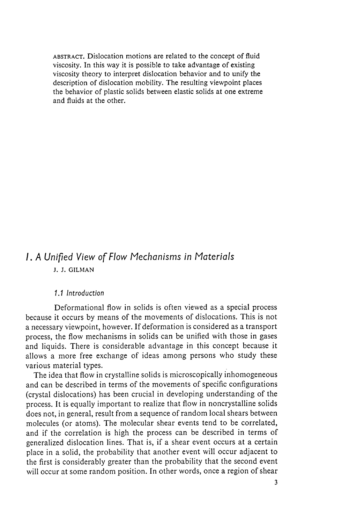ABSTRACT. Dislocation motions are related to the concept of fluid viscosity. In this way it is possible to take advantage of existing viscosity theory to interpret dislocation behavior and to unify the description of dislocation mobility. The resulting viewpoint places the behavior of plastic solids between elastic solids at one extreme and fluids at the other.

# I . A Unified View of Flow Mechanisms in Materials J. J. GILMAN

### 1.1 Introduction

Deformational flow in solids is often viewed as a special process because it occurs by means of the movements of dislocations. This is not a necessary viewpoint, however. If deformation is considered as a transport process, the flow mechanisms in solids can be unified with those in gases and liquids. There is considerable advantage in this concept because it allows a more free exchange of ideas among persons who study these various material types. .

The idea that flow in crystalline solids is microscopically inhomogeneous and can be described in terms of the movements of specific configurations (crystal dislocations) has been crucial in developing understanding of the process. It is equally important to realize that flow in noncrystalline solids does not, in general, result from a sequence of random local shears between molecules (or atoms). The molecular shear events tend to be correlated, and if the correlation is high the process can be described in terms of generalized dislocation lines. That is, if a shear event occurs at a certain place in a solid, the probability that another event will occur adjacent to the first is considerably greater than the probability that the second event will occur at some random position. In other words, once a region of shear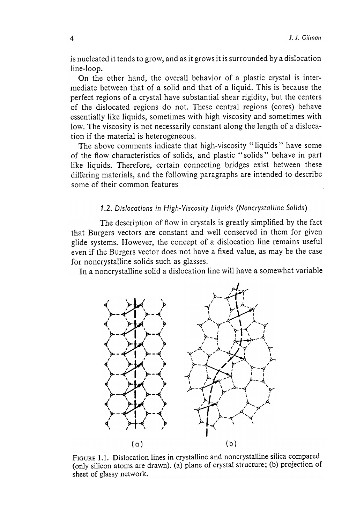is nucleated it tends to grow, and as it grows it is surrounded by a dislocation line-loop.

On the other hand, the overall behavior of a plastic crystal is intermediate between that of a solid and that of a liquid. This is because the perfect regions of a crystal have substantial shear rigidity, but the centers of the dislocated regions do not. These central regions (cores) behave essentially like liquids, sometimes with high viscosity and sometimes with low. The viscosity is not necessarily constant along the length of a dislocation if the material is heterogeneous.

The above comments indicate that high-viscosity " liquids " have some of the flow characteristics of solids, and plastic " solids " behave in part like liquids. Therefore, certain connecting bridges exist between these differing materials, and the following paragraphs are intended to describe some of their common features

# 1.2. Dislocations in High-Viscosity Liquids (Noncrystalline Solids)

The description of flow in crystals is greatly simplified by the fact that Burgers vectors are constant and well conserved in them for given glide systems. However, the concept of a dislocation line remains useful even if the Burgers vector does not have a fixed value, as may be the case for noncrystalline solids such as glasses.

In a noncrystalline solid a dislocation line will have a somewhat variable



FIGURE 1.1. Dislocation lines in crystalline and noncrystalline silica compared (only silicon atoms are drawn). (a) plane of crystal structure; (b) projection of sheet of glassy network.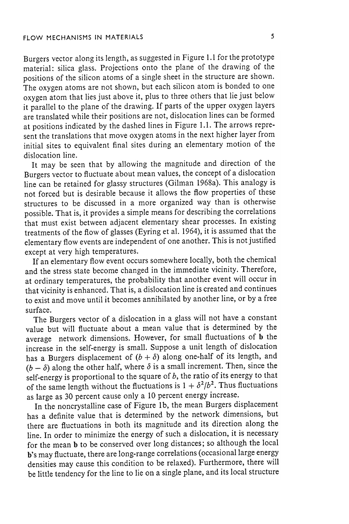Burgers vector along its length, as suggested in Figure 1.1 for the prototype material: silica glass. Projections onto the plane of the drawing of the positions of the silicon atoms of a single sheet in the structure are shown. The oxygen atoms are not shown, but each silicon atom is bonded to one oxygen atom that lies just above it, plus to three others that lie just below<br>it parallel to the plane of the drawing. If parts of the upper oxygen layers it parallel to the plane of the drawing. If parts of the upper oxygen layers are translated while their positions are not, dislocation lines can be formed at positions indicated by the dashed lines in Figure 1.1. The arrows represent the translations that move oxygen atoms in the next higher layer from initial sites to equivalent final sites during an elementary motion of the dislocation line.

It may be seen that by allowing the magnitude and direction of the Burgers vector to fluctuate about mean values, the concept of a dislocation line can be retained for glassy structures (Gilman 1968a). This analogy is not forced but is desirable because it allows the flow properties of these structures to be discussed in a more organized way than is otherwise possible. That is, it provides a simple means for describing the correlations that must exist between adjacent elementary shear processes. In existing treatments of the flow of glasses (Eyring et al. 1964), it is assumed that the elementary flow events are independent of one another. This is not justified except at very high temperatures.

If an elementary flow event occurs somewhere locally, both the chemical and the stress state become changed in the immediate vicinity. Therefore, at ordinary temperatures, the probability that another event will occur in that vicinity is enhanced. That is, a dislocation line is created and continues to exist and move until it becomes annihilated by another line, or by a free surface.

The Burgers vector of a dislocation in a glass will not have a constant value but will fluctuate about a mean value that is determined by the average network dimensions. However, for small fluctuations of b the increase in the self-energy is small. Suppose a unit length of dislocation has a Burgers displacement of  $(b + \delta)$  along one-half of its length, and  $(b - \delta)$  along the other half, where  $\delta$  is a small increment. Then, since the self-energy is proportional to the square of  $b$ , the ratio of its energy to that of the same length without the fluctuations is  $1 + \delta^2/b^2$ . Thus fluctuations as large as 30 percent cause only a 10 percent energy increase.

In the noncrystalline case of Figure Ib, the mean Burgers displacement has a definite value that is determined by the network dimensions, but there are fluctuations in both its magnitude and its direction along the line. In order to minimize the energy of such a dislocation, it is necessary for the mean b to be conserved over long distances; so although the local b's may fluctuate, there are long-range correlations (occasional large energy densities may cause this condition to be relaxed). Furthermore, there will be little tendency for the line to lie on a single plane, and its local structure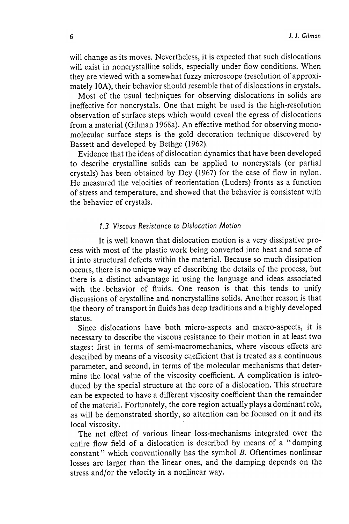will change as its moves. Nevertheless, it is expected that such dislocations will exist in noncrystalline solids, especially under flow conditions. When they are viewed with a somewhat fuzzy microscope (resolution of approximately 10A), their behavior should resemble that of dislocations in crystals.

Most of the usual techniques for observing dislocations in solids are ineffective for noncrystals. One that might be used is the high-resolution observation of surface steps which would reveal the egress of dislocations from a material (Gilman 1968a). An effective method for observing monomolecular surface steps is the gold decoration technique discovered by Bassett and developed by Bethge (1962).

Evidence that the ideas of dislocation dynamics that have been developed to describe crystalline solids can be applied to noncrystals (or partial crystals) has been obtained by Dey (1967) for the case of flow in nylon. He measured the velocities of reorientation (Luders) fronts as a function of stress and temperature, and showed that the behavior is consistent with the behavior of crystals.

### 1.3 Viscous Resistance to Dislocation Motion

It is well known that dislocation motion is a very dissipative process with most of the plastic work being converted into heat and some of it into structural defects within the material. Because so much dissipation occurs, there is no unique way of describing the details of the process, but there is a distinct advantage in using the language and ideas associated with the behavior of fluids. One reason is that this tends to unify discussions of crystalline and noncrystalline solids. Another reason is that the theory of transport in fluids has deep traditions and a highly developed status.

Since dislocations have both micro -aspects and macro -aspects, it is necessary to describe the viscous resistance to their motion in at least two stages: first in terms of semi-macromechanics , where viscous effects are described by means of a viscosity cefficient that is treated as a continuous parameter, and second, in terms of the molecular mechanisms that determine the local value of the viscosity coefficient. A complication is introduced by the special structure at the core of a dislocation. This structure can be expected to have a different viscosity coefficient than the remainder of the material. Fortunately, the core region actually plays a dominant role, as will be demonstrated shortly, so attention can be focused on it and its local viscosity.

The net effect of various linear loss-mechanisms integrated over the entire flow field of a dislocation is described by means of a " damping constant" which conventionally has the symbol  $B$ . Oftentimes nonlinear losses are larger than the linear ones, and the damping depends on the stress and/or the velocity in a nonlinear way.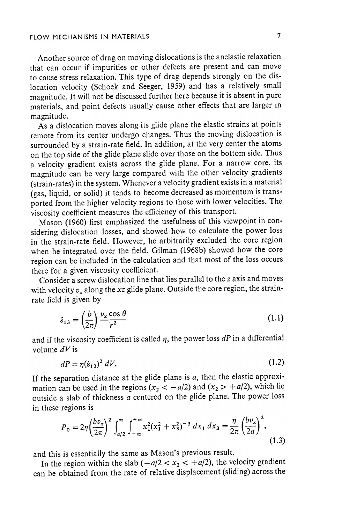Another source of drag on moving dislocations is the anelastic relaxation that can occur if impurities or other defects are present and can move to cause stress relaxation. This type of drag depends strongly on the dislocation velocity (Schoek and Seeger, 1959) and has a relatively small magnitude . It will not be discussed further here because it is absent in pure materials, and point defects usually cause other effects that are larger in magnitude.

As a dislocation moves along its glide plane the elastic strains at points remote from its center undergo changes. Thus the moving dislocation is surrounded by a strain-rate field. In addition, at the very center the atoms on the top side of the glide plane slide over those on the bottom side. Thus a velocity gradient exists across the glide plane. For a narrow core, its magnitude can be very large compared with the other velocity gradients (strain -rates) in the system. Whenever a velocity gradient exists in a material (gas, liquid, or solid) it tends to become decreased as momentum is transported from the higher velocity regions to those with lower velocities. The viscosity coefficient measures the efficiency of this transport.

Mason (1960) first emphasized the usefulness of this viewpoint in considering dislocation losses, and showed how to calculate the power loss in the strain-rate field. However, he arbitrarily excluded the core region when he integrated over the field. Gilman (1968b) showed how the core region can be included in the calculation and that most of the loss occurs there for a given viscosity coefficient.

Consider a screw dislocation line that lies parallel to the z axis and moves with velocity  $v_x$  along the xz glide plane. Outside the core region, the strainrate field is given by

$$
\dot{\varepsilon}_{13} = \left(\frac{b}{2\pi}\right) \frac{v_x \cos \theta}{r^2} \tag{1.1}
$$

and if the viscosity coefficient is called  $\eta$ , the power loss  $dP$  in a differential volume  $dV$  is

$$
dP = \eta(\dot{\varepsilon}_{13})^2 \, dV. \tag{1.2}
$$

If the separation distance at the glide plane is  $a$ , then the elastic approximation can be used in the regions  $(x_2 < -a/2)$  and  $(x_2 > +a/2)$ , which lie outside a slab of thickness a centered on the glide plane. The power loss in these regions is

$$
P_0 = 2\eta \left(\frac{bv_x}{2\pi}\right)^2 \int_{a/2}^{\infty} \int_{-\infty}^{+\infty} x_1^2 (x_1^2 + x_3^2)^{-3} \, dx_1 \, dx_3 = \frac{\eta}{2\pi} \left(\frac{bv_x}{2a}\right)^2,\tag{1.3}
$$

and this is essentially the same as Mason's previous result.<br>In the region within the slab  $(-a/2 < x_2 < +a/2)$ , the velocity gradient<br>can be obtained from the rate of relative displacement (sliding) across the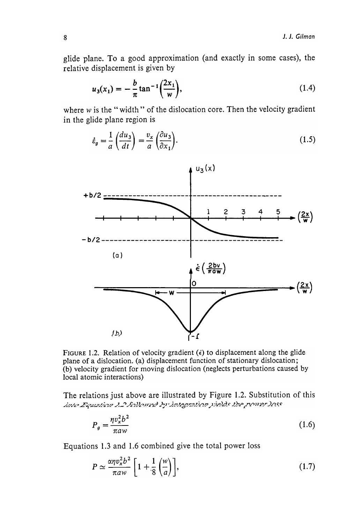glide plane. To a good approximation (and exactly in some cases), the relative displacement is given by

$$
u_3(x_1) = -\frac{b}{\pi} \tan^{-1} \left( \frac{2x_1}{w} \right),\tag{1.4}
$$

where  $w$  is the "width" of the dislocation core. Then the velocity gradient in the glide plane region is

$$
\dot{\varepsilon}_g = \frac{1}{a} \left( \frac{du_3}{dt} \right) = \frac{v_x}{a} \left( \frac{\partial u_3}{\partial x_1} \right).
$$
 (1.5)





The relations just above are illustrated by Figure 1.2. Substitution of this  $\Delta$ יזמר דאיונמת מאו ז $\Delta$ (מנו, ממונכת המונכת המותג למונס $\Delta$ רגל, ממונכנס $Z$  מזמג

$$
P_g = \frac{\eta v_x^2 b^2}{\pi a w} \tag{1.6}
$$

Equations 1.3 and 1.6 combined give the total power loss

$$
P \simeq \frac{\alpha \eta v_x^2 b^2}{\pi a w} \left[ 1 + \frac{1}{8} \left( \frac{w}{a} \right) \right],\tag{1.7}
$$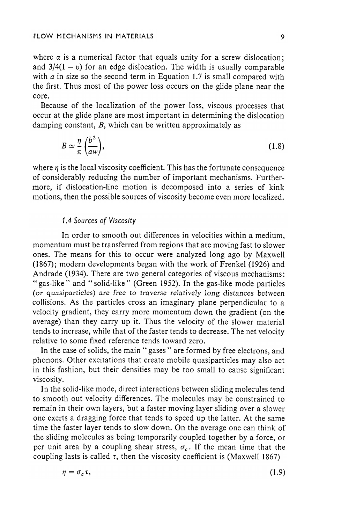where  $\alpha$  is a numerical factor that equals unity for a screw dislocation; and  $3/4(1 - v)$  for an edge dislocation. The width is usually comparable with  $\alpha$  in size so the second term in Equation 1.7 is small compared with the first. Thus most of the power loss occurs on the glide plane near the core.

Because of the localization of the power loss, viscous processes that occur at the glide plane are most important in determining the dislocation damping constant,  $B$ , which can be written approximately as

$$
B \simeq \frac{\eta}{\pi} \left( \frac{b^2}{aw} \right),\tag{1.8}
$$

where  $\eta$  is the local viscosity coefficient. This has the fortunate consequence of considerably reducing the number of important mechanisms. Furthermore, if dislocation-line motion is decomposed into a series of kink motions, then the possible sources of viscosity become even more localized.

### 1.4 Sources of Viscosity

In order to smooth out differences in velocities within a medium. momentum must be transferred from regions that are moving fast to slower ones. The means for this to occur were analyzed long ago by Maxwell ( 1867) ; modern developments began with the work of Frenkel ( 1926) and Andrade (1934). There are two general categories of viscous mechanisms: " gas-like" and " solid-like" (Green 1952). In the gas-like mode particles (or quasiparticles) are free to traverse relatively long distances between collisions. As the particles cross an imaginary plane perpendicular to a velocity gradient, they carry more momentum down the gradient (on the average) than they carry up it. Thus the velocity of the slower material tends to increase, while that of the faster tends to decrease. The net velocity relative to some fixed reference tends toward zero.

In the case of solids, the main "gases" are formed by free electrons, and phonons. Other excitations that create mobile quasiparticles may also act in this fashion, but their densities may be too small to cause significant viscosity.

In the solid-like mode, direct interactions between sliding molecules tend to smooth out velocity differences. The molecules may be constrained to remain in their own layers, but a faster moving layer sliding over a slower one exerts a dragging force that tends to speed up the latter. At the same time the faster layer tends to slow down. On the average one can think of the sliding molecules as being temporarily coupled together by a force, or per unit area by a coupling shear stress,  $\sigma_c$ . If the mean time that the coupling lasts is called  $\tau$ , then the viscosity coefficient is (Maxwell 1867)

$$
\eta = \sigma_c \tau,\tag{1.9}
$$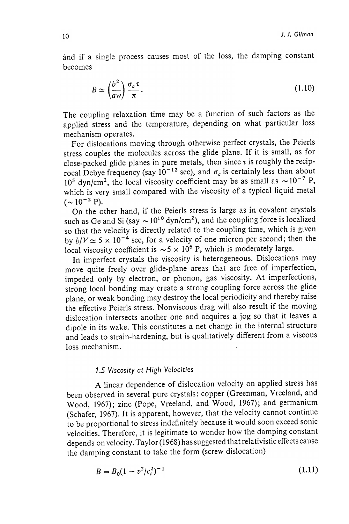and if a single process causes most of the loss, the damping constant becomes

$$
B \simeq \left(\frac{b^2}{aw}\right) \frac{\sigma_c \tau}{\pi}.
$$
\n(1.10)

The coupling relaxation time may be a function of such factors as the applied stress and the temperature, depending on what particular loss mechanism operates .

For dislocations moving through otherwise perfect crystals, the Peierls stress couples the molecules across the glide plane. If it is small, as for close-packed glide planes in pure metals, then since  $\tau$  is roughly the reciprocal Debye frequency (say  $10^{-12}$  sec), and  $\sigma_c$  is certainly less than about  $10^5$  dyn/cm<sup>2</sup>, the local viscosity coefficient may be as small as  $\sim 10^{-7}$  P, which is very small compared with the viscosity of a typical liquid metal  $({\sim}10^{-2} \text{ P}).$ 

On the other hand, if the Peierls stress is large as in covalent crystals such as Ge and Si (say  $\sim 10^{10}$  dyn/cm<sup>2</sup>), and the coupling force is localized so that the velocity is directly related to the coupling time, which is given by  $b/V \approx 5 \times 10^{-4}$  sec, for a velocity of one micron per second; then the local viscosity coefficient is  $\sim 5 \times 10^6$  P, which is moderately large.

In imperfect crystals the viscosity is heterogeneous. Dislocations may move quite freely over glide-plane areas that are free of imperfection, impeded only by electron, or phonon, gas viscosity. At imperfections, strong local bonding may create a strong coupling force across the glide plane, or weak bonding may destroy the local periodicity and thereby raise the effective Peierls stress. Nonviscous drag will also result if the moving dislocation intersects another one and acquires a jog so that it leaves a dipole in its wake. This constitutes a net change in the internal structure and leads to strain-hardening, but is qualitatively different from a viscous loss mechanism.

# 1.5 Viscosity at High Velocities

A linear dependence of dislocation velocity on applied stress has been observed in several pure crystals: copper (Greenman, Vreeland, and Wood, 1967); zinc (Pope, Vreeland, and Wood, 1967); and germanium (Schafer, 1967). It is apparent, however, that the velocity cannot continue to be proportional to stress indefinitely because it would soon exceed sonic velocities. Therefore, it is legitimate to wonder how the damping constant depends on velocity . Taylor ( 1968) has suggested that relativistic effects cause the damping constant to take the form (screw dislocation)

$$
B = B_0 (1 - v^2/c_t^2)^{-1}
$$
 (1.11)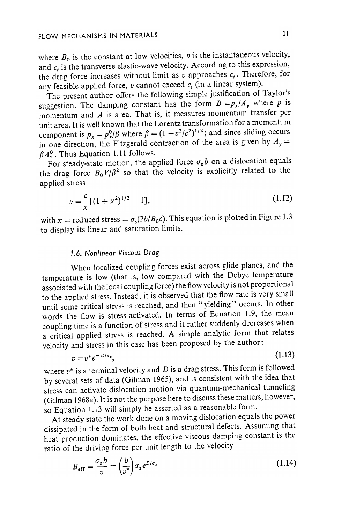where  $B_0$  is the constant at low velocities, v is the instantaneous velocity, and  $c_t$  is the transverse elastic-wave velocity. According to this expression, the drag force increases without limit as  $v$  approaches  $c_t$ . Therefore, for any feasible applied force, v cannot exceed  $c<sub>t</sub>$  (in a linear system).

The present author offers the following simple justification of Taylor's suggestion. The damping constant has the form  $B = p_x/A_y$  where p is momentum and  $A$  is area. That is, it measures momentum transfer per unit area . It is well known that the Lorentz transformation for a momentum component is  $p_x = p_x^0/\beta$  where  $\beta = (1 - v^2/c^2)^{1/2}$ ; and since sliding occurs in one direction, the Fitzgerald contraction of the area is given by  $A_y =$  $\beta A_{\nu}^0$ . Thus Equation 1.11 follows.

For steady-state motion, the applied force  $\sigma_s b$  on a dislocation equals the drag force  $B_0 V/\beta^2$  so that the velocity is explicitly related to the applied stress

$$
v = \frac{c}{x} \left[ (1 + x^2)^{1/2} - 1 \right],\tag{1.12}
$$

with  $x =$  reduced stress =  $\sigma_s(2b/B_0c)$ . This equation is plotted in Figure 1.3 to display its linear and saturation limits.

### 1.6. Nonlinear Viscous Drag

When localized coupling forces exist across glide planes, and the temperature is low (that is, low compared with the Debye temperature temperature is low (that is, low compared with the Debye temperature associated with the local coupling force) the flow velocity is not proportional to the applied stress. Instead, it is observed that the flow rate is very small until some critical stress is reached, and then " yielding " occurs. In other words the flow is stress-activated. In terms of Equation 1.9, the mean coupling time is a function of stress and it rather suddenly decreases when a critical applied stress is reached. A simple analytic form that relates velocity and stress in this case has been proposed by the author :

 $v = v^* e^{-D/\sigma_s},$  (1.13)

where  $v^*$  is a terminal velocity and D is a drag stress. This form is followed by several sets of data (Gilman 1965), and is consistent with the idea that stress can activate dislocation motion via quantum -mechanical tunneling (Gilman 1968a). It is not the purpose here to discuss these matters, however, so Equation 1.13 will simply be asserted as a reasonable form. so Equation 1.13 will simply be asserted as a reasonable form.

At steady state the work done on a moving dislocation equals the power dissipated in the form of both heat and structural defects. Assuming that heat production dominates, the effective viscous damping constant is the ratio of the driving force per unit length to the velocity

$$
B_{\rm eff} = \frac{\sigma_s b}{v} = \left(\frac{b}{v^*}\right) \sigma_s e^{D/\sigma_s} \tag{1.14}
$$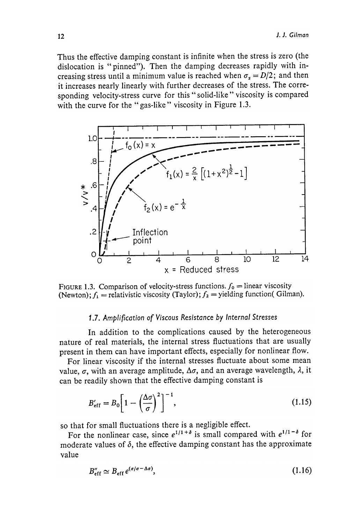Thus the effective damping constant is infinite when the stress is zero (the dislocation is " pinned"). Then the damping decreases rapidly with increasing stress until a minimum value is reached when  $\sigma_s = D/2$ ; and then it increases nearly linearly with further decreases of the stress. The corresponding velocity-stress curve for this "solid-like" viscosity is compared with the curve for the "gas-like" viscosity in Figure 1.3.



FIGURE 1.3. Comparison of velocity-stress functions.  $f_0 =$  linear viscosity ( Newton ) ;  $f_1$  = relativistic viscosity (Taylor) ;  $f_2$  = yielding function (Gilman).

## 1.7. Amplification of Viscous Resistance by Internal Stresses

In addition to the complications caused by the heterogeneous nature of real materials, the internal stress fluctuations that are usually present in them can have important effects, especially for nonlinear flow.

For linear viscosity if the internal stresses fluctuate about some mean value,  $\sigma$ , with an average amplitude,  $\Delta\sigma$ , and an average wavelength,  $\lambda$ , it can be readily shown that the effective damping constant is

$$
B'_{\rm eff} = B_0 \left[ 1 - \left( \frac{\Delta \sigma}{\sigma} \right)^2 \right]^{-1}, \tag{1.15}
$$

so that for small fluctuations there is a negligible effect.

For the nonlinear case, since  $e^{1/1+\delta}$  is small compared with  $e^{1/1-\delta}$  for moderate values of  $\delta$ , the effective damping constant has the approximate value

$$
B''_{\text{eff}} \simeq B_{\text{eff}} e^{(\sigma/\sigma - \Delta \sigma)}, \tag{1.16}
$$